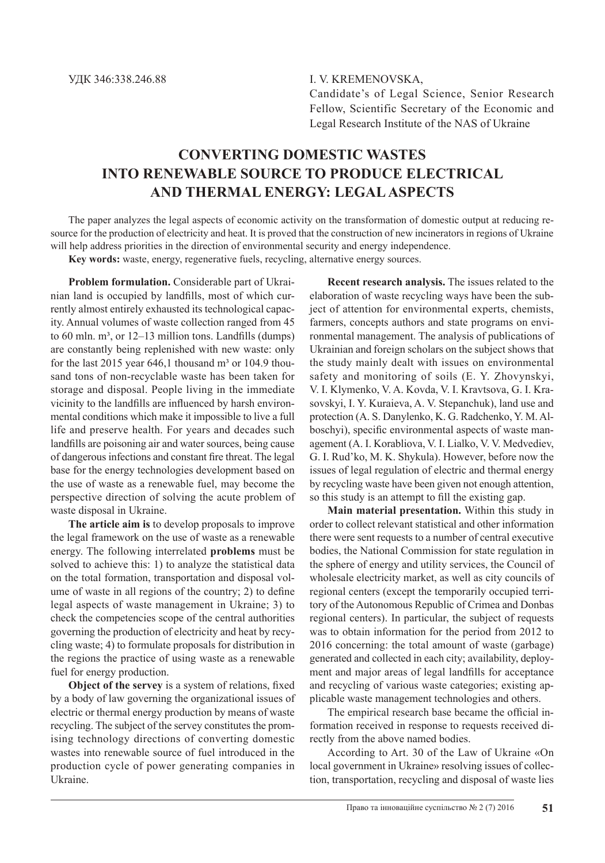УДК 346:338.246.88 I. V. KREMENOVSKA,

Candidate's of Legal Science, Senior Research Fellow, Scientific Secretary of the Economic and Legal Research Institute of the NAS of Ukraine

# **CONVERTING DOMESTIC WASTES INTO RENEWABLE SOURCE TO PRODUCE ELECTRICAL AND THERMAL ENERGY: LEGAL ASPECTS**

The paper analyzes the legal aspects of economic activity on the transformation of domestic output at reducing resource for the production of electricity and heat. It is proved that the construction of new incinerators in regions of Ukraine will help address priorities in the direction of environmental security and energy independence.

**Key words:** waste, energy, regenerative fuels, recycling, alternative energy sources.

**Problem formulation.** Considerable part of Ukrainian land is occupied by landfills, most of which currently almost entirely exhausted its technological capacity. Annual volumes of waste collection ranged from 45 to 60 mln.  $m^3$ , or 12–13 million tons. Landfills (dumps) are constantly being replenished with new waste: only for the last 2015 year  $646,1$  thousand m<sup>3</sup> or 104.9 thousand tons of non-recyclable waste has been taken for storage and disposal. People living in the immediate vicinity to the landfills are influenced by harsh environmental conditions which make it impossible to live a full life and preserve health. For years and decades such landfills are poisoning air and water sources, being cause of dangerous infections and constant fire threat. The legal base for the energy technologies development based on the use of waste as a renewable fuel, may become the perspective direction of solving the acute problem of waste disposal in Ukraine.

**The article aim is** to develop proposals to improve the legal framework on the use of waste as a renewable energy. The following interrelated **problems** must be solved to achieve this: 1) to analyze the statistical data on the total formation, transportation and disposal volume of waste in all regions of the country; 2) to define legal aspects of waste management in Ukraine; 3) to check the competencies scope of the central authorities governing the production of electricity and heat by recycling waste; 4) to formulate proposals for distribution in the regions the practice of using waste as a renewable fuel for energy production.

**Object of the servey** is a system of relations, fixed by a body of law governing the organizational issues of electric or thermal energy production by means of waste recycling. The subject of the servey constitutes the promising technology directions of converting domestic wastes into renewable source of fuel introduced in the production cycle of power generating companies in Ukraine.

**Recent research analysis.** The issues related to the elaboration of waste recycling ways have been the subject of attention for environmental experts, chemists, farmers, concepts authors and state programs on environmental management. The analysis of publications of Ukrainian and foreign scholars on the subject shows that the study mainly dealt with issues on environmental safety and monitoring of soils (E. Y. Zhovynskyi, V. I. Klymenko, V. A. Kovda, V. I. Kravtsova, G. I. Krasovskyi, I. Y. Kuraieva, A. V. Stepanchuk), land use and protection (A. S. Danylenko, K. G. Radchenko, Y. M.Alboschyi), specific environmental aspects of waste management (A. I. Korabliova, V. I. Lialko, V. V. Medvediev, G. I. Rud'ko, M. K. Shykula). However, before now the issues of legal regulation of electric and thermal energy by recycling waste have been given not enough attention, so this study is an attempt to fill the existing gap.

**Main material presentation.** Within this study in order to collect relevant statistical and other information there were sent requests to a number of central executive bodies, the National Commission for state regulation in the sphere of energy and utility services, the Council of wholesale electricity market, as well as city councils of regional centers (except the temporarily occupied territory of the Autonomous Republic of Crimea and Donbas regional centers). In particular, the subject of requests was to obtain information for the period from 2012 to 2016 concerning: the total amount of waste (garbage) generated and collected in each city; availability, deployment and major areas of legal landfills for acceptance and recycling of various waste categories; existing applicable waste management technologies and others.

The empirical research base became the official information received in response to requests received directly from the above named bodies.

According to Art. 30 of the Law of Ukraine «On local government in Ukraine» resolving issues of collection, transportation, recycling and disposal of waste lies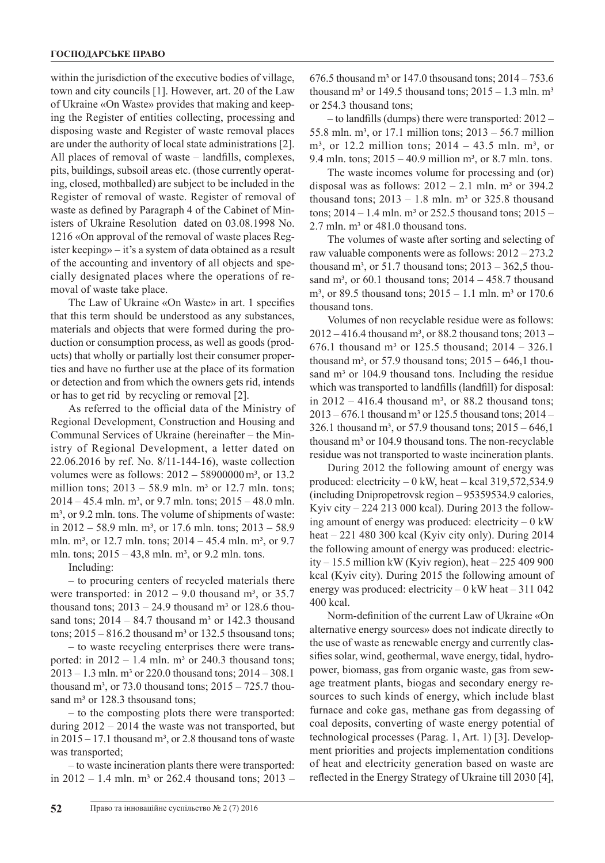within the jurisdiction of the executive bodies of village, town and city councils [1]. However, art. 20 of the Law of Ukraine «On Waste» provides that making and keeping the Register of entities collecting, processing and disposing waste and Register of waste removal places are under the authority of local state administrations [2]. All places of removal of waste – landfills, complexes, pits, buildings, subsoil areas etc. (those currently operating, closed, mothballed) are subject to be included in the Register of removal of waste. Register of removal of waste as defined by Paragraph 4 of the Cabinet of Ministers of Ukraine Resolution dated on 03.08.1998 No. 1216 «On approval of the removal of waste places Register keeping» – it's a system of data obtained as a result of the accounting and inventory of all objects and specially designated places where the operations of removal of waste take place.

The Law of Ukraine «On Waste» in art. 1 specifies that this term should be understood as any substances, materials and objects that were formed during the production or consumption process, as well as goods (products) that wholly or partially lost their consumer properties and have no further use at the place of its formation or detection and from which the owners gets rid, intends or has to get rid by recycling or removal [2].

As referred to the official data of the Ministry of Regional Development, Construction and Housing and Communal Services of Ukraine (hereinafter – the Ministry of Regional Development, a letter dated on 22.06.2016 by ref. No. 8/11‑144‑16), waste collection volumes were as follows:  $2012 - 58900000 \text{ m}^3$ , or 13.2 million tons;  $2013 - 58.9$  mln. m<sup>3</sup> or 12.7 mln. tons;  $2014 - 45.4$  mln. m<sup>3</sup>, or 9.7 mln. tons;  $2015 - 48.0$  mln.  $m<sup>3</sup>$ , or 9.2 mln. tons. The volume of shipments of waste: in  $2012 - 58.9$  mln. m<sup>3</sup>, or 17.6 mln. tons;  $2013 - 58.9$ mln. m<sup>3</sup>, or 12.7 mln. tons;  $2014 - 45.4$  mln. m<sup>3</sup>, or 9.7 mln. tons;  $2015 - 43,8$  mln. m<sup>3</sup>, or 9.2 mln. tons.

Including:

– to procuring centers of recycled materials there were transported: in  $2012 - 9.0$  thousand m<sup>3</sup>, or 35.7 thousand tons;  $2013 - 24.9$  thousand m<sup>3</sup> or 128.6 thousand tons;  $2014 - 84.7$  thousand m<sup>3</sup> or 142.3 thousand tons;  $2015 - 816.2$  thousand m<sup>3</sup> or 132.5 thsousand tons;

– to waste recycling enterprises there were transported: in  $2012 - 1.4$  mln. m<sup>3</sup> or 240.3 thousand tons;  $2013 - 1.3$  mln. m<sup>3</sup> or 220.0 thousand tons;  $2014 - 308.1$ thousand  $m<sup>3</sup>$ , or 73.0 thousand tons;  $2015 - 725.7$  thousand m<sup>3</sup> or 128.3 thsousand tons;

– to the composting plots there were transported: during  $2012 - 2014$  the waste was not transported, but in  $2015 - 17.1$  thousand m<sup>3</sup>, or 2.8 thousand tons of waste was transported;

– to waste incineration plants there were transported: in 2012 – 1.4 mln. m<sup>3</sup> or 262.4 thousand tons; 2013 – 676.5 thousand m<sup>3</sup> or 147.0 thsousand tons;  $2014 - 753.6$ thousand  $m<sup>3</sup>$  or 149.5 thousand tons;  $2015 - 1.3$  mln.  $m<sup>3</sup>$ or 254.3 thousand tons;

– to landfills (dumps) there were transported: 2012 – 55.8 mln. m<sup>3</sup>, or 17.1 million tons;  $2013 - 56.7$  million  $m^3$ , or 12.2 million tons; 2014 – 43.5 mln.  $m^3$ , or 9.4 mln. tons;  $2015 - 40.9$  million m<sup>3</sup>, or 8.7 mln. tons.

The waste incomes volume for processing and (or) disposal was as follows:  $2012 - 2.1$  mln. m<sup>3</sup> or 394.2 thousand tons;  $2013 - 1.8$  mln. m<sup>3</sup> or 325.8 thousand tons;  $2014 - 1.4$  mln. m<sup>3</sup> or 252.5 thousand tons;  $2015 2.7$  mln. m<sup>3</sup> or 481.0 thousand tons.

The volumes of waste after sorting and selecting of raw valuable components were as follows: 2012 – 273.2 thousand  $m^3$ , or 51.7 thousand tons;  $2013 - 362.5$  thousand  $m<sup>3</sup>$ , or 60.1 thousand tons;  $2014 - 458.7$  thousand m<sup>3</sup>, or 89.5 thousand tons;  $2015 - 1.1$  mln. m<sup>3</sup> or 170.6 thousand tons.

Volumes of non recyclable residue were as follows:  $2012 - 416.4$  thousand m<sup>3</sup>, or 88.2 thousand tons;  $2013 -$ 676.1 thousand m<sup>3</sup> or 125.5 thousand;  $2014 - 326.1$ thousand  $m^3$ , or 57.9 thousand tons;  $2015 - 646$ , 1 thousand  $m<sup>3</sup>$  or 104.9 thousand tons. Including the residue which was transported to landfills (landfill) for disposal: in  $2012 - 416.4$  thousand m<sup>3</sup>, or 88.2 thousand tons;  $2013 - 676.1$  thousand m<sup>3</sup> or 125.5 thousand tons;  $2014 -$ 326.1 thousand m<sup>3</sup>, or 57.9 thousand tons;  $2015 - 646$ , 1 thousand m<sup>3</sup> or 104.9 thousand tons. The non-recyclable residue was not transported to waste incineration plants.

During 2012 the following amount of energy was produced: electricity – 0 kW, heat – kcal  $319,572,534.9$ (including Dnipropetrovsk region – 95359534.9 calories, Kyiv city  $-224$  213 000 kcal). During 2013 the following amount of energy was produced: electricity – 0 kW heat – 221 480 300 kcal (Kyiv city only). During 2014 the following amount of energy was produced: electricity  $-15.5$  million kW (Kyiv region), heat  $-225409900$ kcal (Kyiv city). During 2015 the following amount of energy was produced: electricity  $-0$  kW heat  $-311\,042$ 400 kcal.

Norm-definition of the current Law of Ukraine «On alternative energy sources» does not indicate directly to the use of waste as renewable energy and currently classifies solar, wind, geothermal, wave energy, tidal, hydropower, biomass, gas from organic waste, gas from sewage treatment plants, biogas and secondary energy resources to such kinds of energy, which include blast furnace and coke gas, methane gas from degassing of coal deposits, converting of waste energy potential of technological processes (Parag. 1, Art. 1) [3]. Development priorities and projects implementation conditions of heat and electricity generation based on waste are reflected in the Energy Strategy of Ukraine till 2030 [4],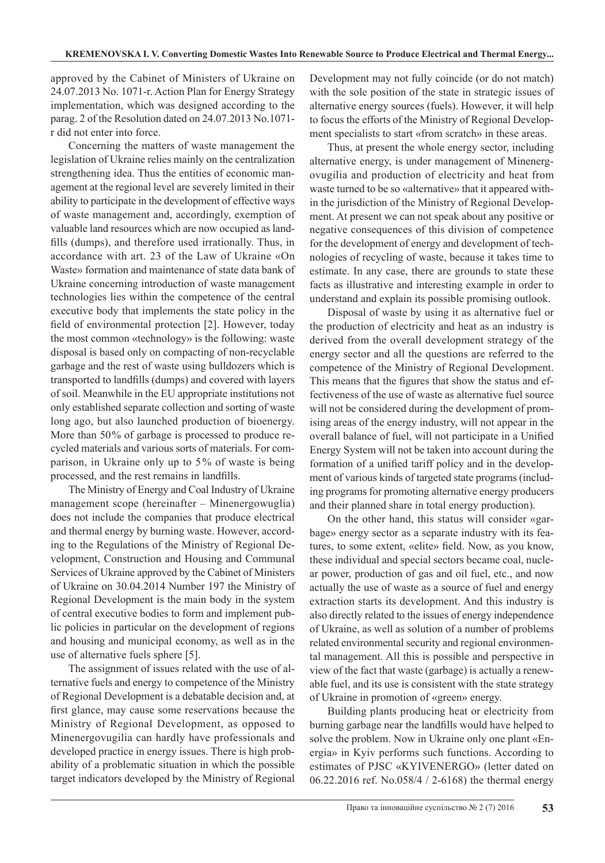approved by the Cabinet of Ministers of Ukraine on 24.07.2013 No. 1071-r. Action Plan for Energy Strategy implementation, which was designed according to the parag. 2 of the Resolution dated on 24.07.2013 No.1071 r did not enter into force.

Concerning the matters of waste management the legislation of Ukraine relies mainly on the centralization strengthening idea. Thus the entities of economic management at the regional level are severely limited in their ability to participate in the development of effective ways of waste management and, accordingly, exemption of valuable land resources which are now occupied as landfills (dumps), and therefore used irrationally. Thus, in accordance with art. 23 of the Law of Ukraine «On Waste» formation and maintenance of state data bank of Ukraine concerning introduction of waste management technologies lies within the competence of the central executive body that implements the state policy in the field of environmental protection [2]. However, today the most common «technology» is the following: waste disposal is based only on compacting of non-recyclable garbage and the rest of waste using bulldozers which is transported to landfills (dumps) and covered with layers of soil. Meanwhile in the EU appropriate institutions not only established separate collection and sorting of waste long ago, but also launched production of bioenergy. More than 50% of garbage is processed to produce recycled materials and various sorts of materials. For comparison, in Ukraine only up to 5 % of waste is being processed, and the rest remains in landfills.

The Ministry of Energy and Coal Industry of Ukraine management scope (hereinafter – Minenergowuglia) does not include the companies that produce electrical and thermal energy by burning waste. However, according to the Regulations of the Ministry of Regional Development, Construction and Housing and Communal Services of Ukraine approved by the Cabinet of Ministers of Ukraine on 30.04.2014 Number 197 the Ministry of Regional Development is the main body in the system of central executive bodies to form and implement public policies in particular on the development of regions and housing and municipal economy, as well as in the use of alternative fuels sphere [5].

The assignment of issues related with the use of alternative fuels and energy to competence of the Ministry of Regional Development is a debatable decision and, at first glance, may cause some reservations because the Ministry of Regional Development, as opposed to Minenergovugilia can hardly have professionals and developed practice in energy issues. There is high probability of a problematic situation in which the possible target indicators developed by the Ministry of Regional

Development may not fully coincide (or do not match) with the sole position of the state in strategic issues of alternative energy sources (fuels). However, it will help to focus the efforts of the Ministry of Regional Development specialists to start «from scratch» in these areas.

Thus, at present the whole energy sector, including alternative energy, is under management of Minenergovugilia and production of electricity and heat from waste turned to be so «alternative» that it appeared within the jurisdiction of the Ministry of Regional Development. At present we can not speak about any positive or negative consequences of this division of competence for the development of energy and development of technologies of recycling of waste, because it takes time to estimate. In any case, there are grounds to state these facts as illustrative and interesting example in order to understand and explain its possible promising outlook.

Disposal of waste by using it as alternative fuel or the production of electricity and heat as an industry is derived from the overall development strategy of the energy sector and all the questions are referred to the competence of the Ministry of Regional Development. This means that the figures that show the status and effectiveness of the use of waste as alternative fuel source will not be considered during the development of promising areas of the energy industry, will not appear in the overall balance of fuel, will not participate in a Unified Energy System will not be taken into account during the formation of a unified tariff policy and in the development of various kinds of targeted state programs (including programs for promoting alternative energy producers and their planned share in total energy production).

On the other hand, this status will consider «garbage» energy sector as a separate industry with its features, to some extent, «elite» field. Now, as you know, these individual and special sectors became coal, nuclear power, production of gas and oil fuel, etc., and now actually the use of waste as a source of fuel and energy extraction starts its development. And this industry is also directly related to the issues of energy independence of Ukraine, as well as solution of a number of problems related environmental security and regional environmental management. All this is possible and perspective in view of the fact that waste (garbage) is actually a renewable fuel, and its use is consistent with the state strategy of Ukraine in promotion of «green» energy.

Building plants producing heat or electricity from burning garbage near the landfills would have helped to solve the problem. Now in Ukraine only one plant «Energia» in Kyiv performs such functions. According to estimates of PJSC «KYIVENERGO» (letter dated on 06.22.2016 ref. No.058/4 / 2-6168) the thermal energy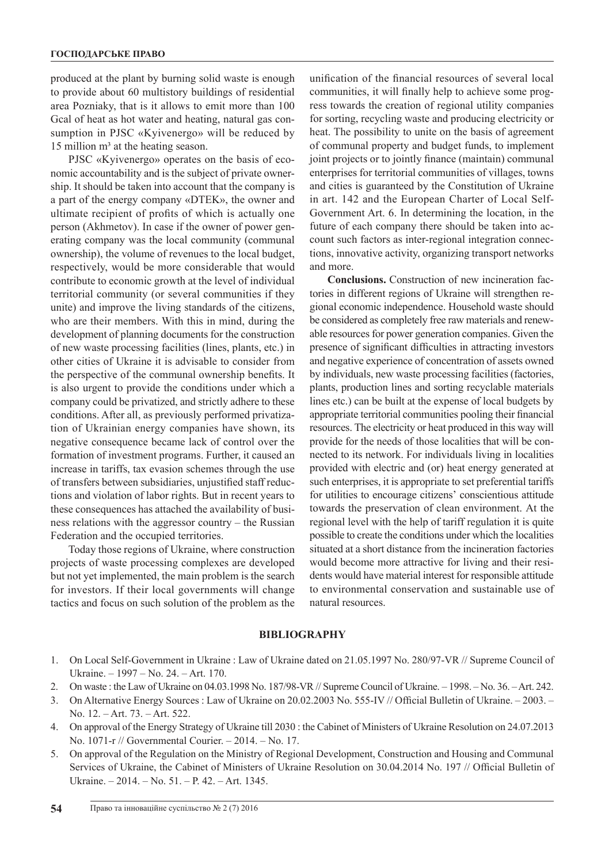produced at the plant by burning solid waste is enough to provide about 60 multistory buildings of residential area Pozniaky, that is it allows to emit more than 100 Gcal of heat as hot water and heating, natural gas consumption in PJSC «Kyivenergo» will be reduced by 15 million  $m<sup>3</sup>$  at the heating season.

PJSC «Kyivenergo» operates on the basis of economic accountability and is the subject of private ownership. It should be taken into account that the company is a part of the energy company «DTEK», the owner and ultimate recipient of profits of which is actually one person (Akhmetov). In case if the owner of power generating company was the local community (communal ownership), the volume of revenues to the local budget, respectively, would be more considerable that would contribute to economic growth at the level of individual territorial community (or several communities if they unite) and improve the living standards of the citizens, who are their members. With this in mind, during the development of planning documents for the construction of new waste processing facilities (lines, plants, etc.) in other cities of Ukraine it is advisable to consider from the perspective of the communal ownership benefits. It is also urgent to provide the conditions under which a company could be privatized, and strictly adhere to these conditions. After all, as previously performed privatization of Ukrainian energy companies have shown, its negative consequence became lack of control over the formation of investment programs. Further, it caused an increase in tariffs, tax evasion schemes through the use of transfers between subsidiaries, unjustified staff reductions and violation of labor rights. But in recent years to these consequences has attached the availability of business relations with the aggressor country – the Russian Federation and the occupied territories.

Today those regions of Ukraine, where construction projects of waste processing complexes are developed but not yet implemented, the main problem is the search for investors. If their local governments will change tactics and focus on such solution of the problem as the unification of the financial resources of several local communities, it will finally help to achieve some progress towards the creation of regional utility companies for sorting, recycling waste and producing electricity or heat. The possibility to unite on the basis of agreement of communal property and budget funds, to implement joint projects or to jointly finance (maintain) communal enterprises for territorial communities of villages, towns and cities is guaranteed by the Constitution of Ukraine in art. 142 and the European Charter of Local Self-Government Art. 6. In determining the location, in the future of each company there should be taken into account such factors as inter-regional integration connections, innovative activity, organizing transport networks and more.

**Conclusions.** Construction of new incineration factories in different regions of Ukraine will strengthen regional economic independence. Household waste should be considered as completely free raw materials and renewable resources for power generation companies. Given the presence of significant difficulties in attracting investors and negative experience of concentration of assets owned by individuals, new waste processing facilities (factories, plants, production lines and sorting recyclable materials lines etc.) can be built at the expense of local budgets by appropriate territorial communities pooling their financial resources. The electricity or heat produced in this way will provide for the needs of those localities that will be connected to its network. For individuals living in localities provided with electric and (or) heat energy generated at such enterprises, it is appropriate to set preferential tariffs for utilities to encourage citizens' conscientious attitude towards the preservation of clean environment. At the regional level with the help of tariff regulation it is quite possible to create the conditions under which the localities situated at a short distance from the incineration factories would become more attractive for living and their residents would have material interest for responsible attitude to environmental conservation and sustainable use of natural resources.

#### **BIBLIOGRAPHY**

- 1. On Local Self-Government in Ukraine : Law of Ukraine dated on 21.05.1997 No. 280/97-VR // Supreme Council of Ukraine. – 1997 – No. 24. – Art. 170.
- 2. On waste : the Law of Ukraine on 04.03.1998 No. 187/98-VR // Supreme Council of Ukraine. 1998. No. 36. Art. 242.
- 3. On Alternative Energy Sources : Law of Ukraine on 20.02.2003 No. 555-IV // Official Bulletin of Ukraine. 2003. No. 12. – Art. 73. – Art. 522.
- 4. On approval of the Energy Strategy of Ukraine till 2030 : the Cabinet of Ministers of Ukraine Resolution on 24.07.2013 No. 1071-r // Governmental Courier. – 2014. – No. 17.
- 5. On approval of the Regulation on the Ministry of Regional Development, Construction and Housing and Communal Services of Ukraine, the Cabinet of Ministers of Ukraine Resolution on 30.04.2014 No. 197 // Official Bulletin of Ukraine. – 2014. – No. 51. – P. 42. – Art. 1345.